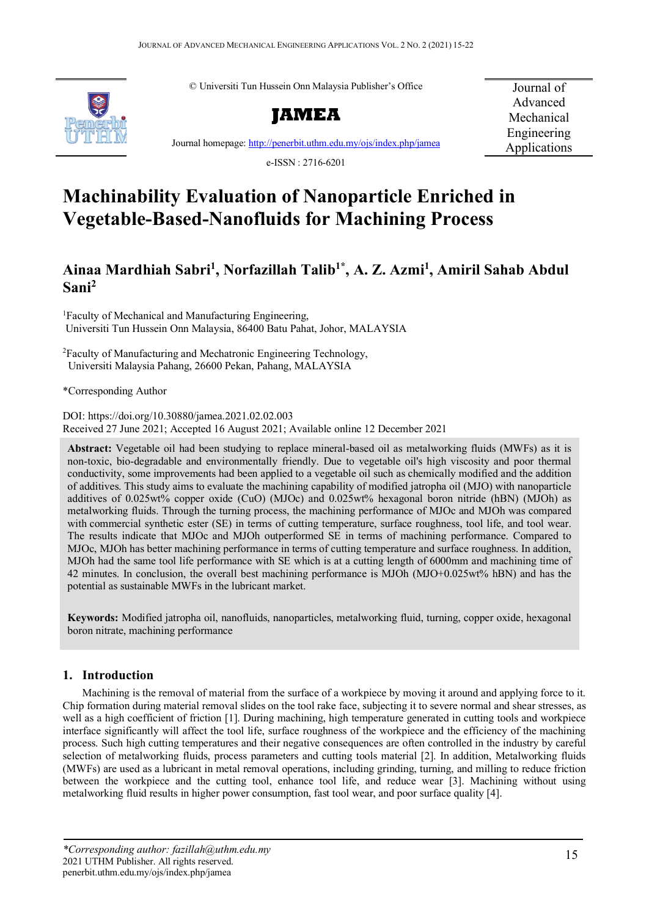© Universiti Tun Hussein Onn Malaysia Publisher's Office



**JAMEA**

Journal of Advanced Mechanical Engineering Applications

Journal homepage:<http://penerbit.uthm.edu.my/ojs/index.php/jamea>

e-ISSN : 2716-6201

# **Machinability Evaluation of Nanoparticle Enriched in Vegetable-Based-Nanofluids for Machining Process**

# **Ainaa Mardhiah Sabri1 , Norfazillah Talib1\* , A. Z. Azmi1 , Amiril Sahab Abdul Sani2**

1 Faculty of Mechanical and Manufacturing Engineering, Universiti Tun Hussein Onn Malaysia, 86400 Batu Pahat, Johor, MALAYSIA

2 Faculty of Manufacturing and Mechatronic Engineering Technology, Universiti Malaysia Pahang, 26600 Pekan, Pahang, MALAYSIA

\*Corresponding Author

DOI[: https://doi.org/10.30880/jamea.2021.02.02.003](https://doi.org/10.30880/ijie.2021.02.02.003) Received 27 June 2021; Accepted 16 August 2021; Available online 12 December 2021

**Abstract:** Vegetable oil had been studying to replace mineral-based oil as metalworking fluids (MWFs) as it is non-toxic, bio-degradable and environmentally friendly. Due to vegetable oil's high viscosity and poor thermal conductivity, some improvements had been applied to a vegetable oil such as chemically modified and the addition of additives. This study aims to evaluate the machining capability of modified jatropha oil (MJO) with nanoparticle additives of 0.025wt% copper oxide (CuO) (MJOc) and 0.025wt% hexagonal boron nitride (hBN) (MJOh) as metalworking fluids. Through the turning process, the machining performance of MJOc and MJOh was compared with commercial synthetic ester (SE) in terms of cutting temperature, surface roughness, tool life, and tool wear. The results indicate that MJOc and MJOh outperformed SE in terms of machining performance. Compared to MJOc, MJOh has better machining performance in terms of cutting temperature and surface roughness. In addition, MJOh had the same tool life performance with SE which is at a cutting length of 6000mm and machining time of 42 minutes. In conclusion, the overall best machining performance is MJOh (MJO+0.025wt% hBN) and has the potential as sustainable MWFs in the lubricant market.

**Keywords:** Modified jatropha oil, nanofluids, nanoparticles, metalworking fluid, turning, copper oxide, hexagonal boron nitrate, machining performance

# **1. Introduction**

Machining is the removal of material from the surface of a workpiece by moving it around and applying force to it. Chip formation during material removal slides on the tool rake face, subjecting it to severe normal and shear stresses, as well as a high coefficient of friction [1]. During machining, high temperature generated in cutting tools and workpiece interface significantly will affect the tool life, surface roughness of the workpiece and the efficiency of the machining process. Such high cutting temperatures and their negative consequences are often controlled in the industry by careful selection of metalworking fluids, process parameters and cutting tools material [2]. In addition, Metalworking fluids (MWFs) are used as a lubricant in metal removal operations, including grinding, turning, and milling to reduce friction between the workpiece and the cutting tool, enhance tool life, and reduce wear [3]. Machining without using metalworking fluid results in higher power consumption, fast tool wear, and poor surface quality [4].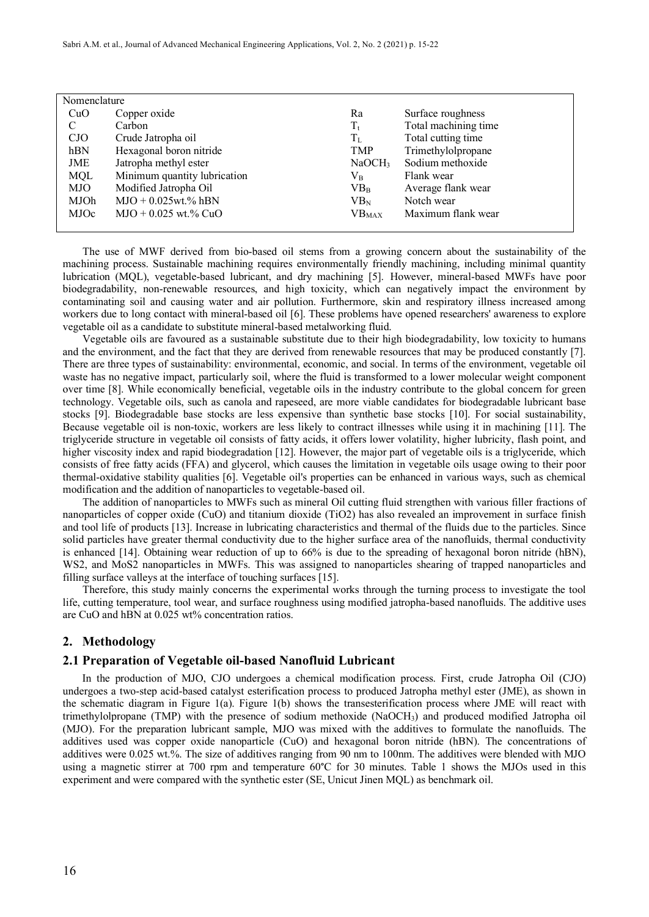| Nomenclature |                              |                    |                      |  |
|--------------|------------------------------|--------------------|----------------------|--|
| CuO          | Copper oxide                 | Ra                 | Surface roughness    |  |
| C            | Carbon                       | $T_{t}$            | Total machining time |  |
| CJO          | Crude Jatropha oil           | $T_{\rm L}$        | Total cutting time   |  |
| hBN          | Hexagonal boron nitride      | <b>TMP</b>         | Trimethylolpropane   |  |
| JME          | Jatropha methyl ester        | NaOCH <sub>3</sub> | Sodium methoxide     |  |
| <b>MQL</b>   | Minimum quantity lubrication | $\rm V_R$          | Flank wear           |  |
| MJO          | Modified Jatropha Oil        | VB <sub>B</sub>    | Average flank wear   |  |
| MJOh         | $MJO + 0.025wt.$ % hBN       | $VB_N$             | Notch wear           |  |
| MJOc         | $MJO + 0.025$ wt.% CuO       | VB <sub>MAX</sub>  | Maximum flank wear   |  |
|              |                              |                    |                      |  |

The use of MWF derived from bio-based oil stems from a growing concern about the sustainability of the machining process. Sustainable machining requires environmentally friendly machining, including minimal quantity lubrication (MQL), vegetable-based lubricant, and dry machining [5]. However, mineral-based MWFs have poor biodegradability, non-renewable resources, and high toxicity, which can negatively impact the environment by contaminating soil and causing water and air pollution. Furthermore, skin and respiratory illness increased among workers due to long contact with mineral-based oil [6]. These problems have opened researchers' awareness to explore vegetable oil as a candidate to substitute mineral-based metalworking fluid.

Vegetable oils are favoured as a sustainable substitute due to their high biodegradability, low toxicity to humans and the environment, and the fact that they are derived from renewable resources that may be produced constantly [7]. There are three types of sustainability: environmental, economic, and social. In terms of the environment, vegetable oil waste has no negative impact, particularly soil, where the fluid is transformed to a lower molecular weight component over time [8]. While economically beneficial, vegetable oils in the industry contribute to the global concern for green technology. Vegetable oils, such as canola and rapeseed, are more viable candidates for biodegradable lubricant base stocks [9]. Biodegradable base stocks are less expensive than synthetic base stocks [10]. For social sustainability, Because vegetable oil is non-toxic, workers are less likely to contract illnesses while using it in machining [11]. The triglyceride structure in vegetable oil consists of fatty acids, it offers lower volatility, higher lubricity, flash point, and higher viscosity index and rapid biodegradation [12]. However, the major part of vegetable oils is a triglyceride, which consists of free fatty acids (FFA) and glycerol, which causes the limitation in vegetable oils usage owing to their poor thermal-oxidative stability qualities [6]. Vegetable oil's properties can be enhanced in various ways, such as chemical modification and the addition of nanoparticles to vegetable-based oil.

The addition of nanoparticles to MWFs such as mineral Oil cutting fluid strengthen with various filler fractions of nanoparticles of copper oxide (CuO) and titanium dioxide (TiO2) has also revealed an improvement in surface finish and tool life of products [13]. Increase in lubricating characteristics and thermal of the fluids due to the particles. Since solid particles have greater thermal conductivity due to the higher surface area of the nanofluids, thermal conductivity is enhanced [14]. Obtaining wear reduction of up to 66% is due to the spreading of hexagonal boron nitride (hBN), WS2, and MoS2 nanoparticles in MWFs. This was assigned to nanoparticles shearing of trapped nanoparticles and filling surface valleys at the interface of touching surfaces [15].

Therefore, this study mainly concerns the experimental works through the turning process to investigate the tool life, cutting temperature, tool wear, and surface roughness using modified jatropha-based nanofluids. The additive uses are CuO and hBN at 0.025 wt% concentration ratios.

## **2. Methodology**

#### **2.1 Preparation of Vegetable oil-based Nanofluid Lubricant**

In the production of MJO, CJO undergoes a chemical modification process. First, crude Jatropha Oil (CJO) undergoes a two-step acid-based catalyst esterification process to produced Jatropha methyl ester (JME), as shown in the schematic diagram in Figure 1(a). Figure 1(b) shows the transesterification process where JME will react with trimethylolpropane (TMP) with the presence of sodium methoxide (NaOCH3) and produced modified Jatropha oil (MJO). For the preparation lubricant sample, MJO was mixed with the additives to formulate the nanofluids. The additives used was copper oxide nanoparticle (CuO) and hexagonal boron nitride (hBN). The concentrations of additives were 0.025 wt.%. The size of additives ranging from 90 nm to 100nm. The additives were blended with MJO using a magnetic stirrer at 700 rpm and temperature 60°C for 30 minutes. Table 1 shows the MJOs used in this experiment and were compared with the synthetic ester (SE, Unicut Jinen MQL) as benchmark oil.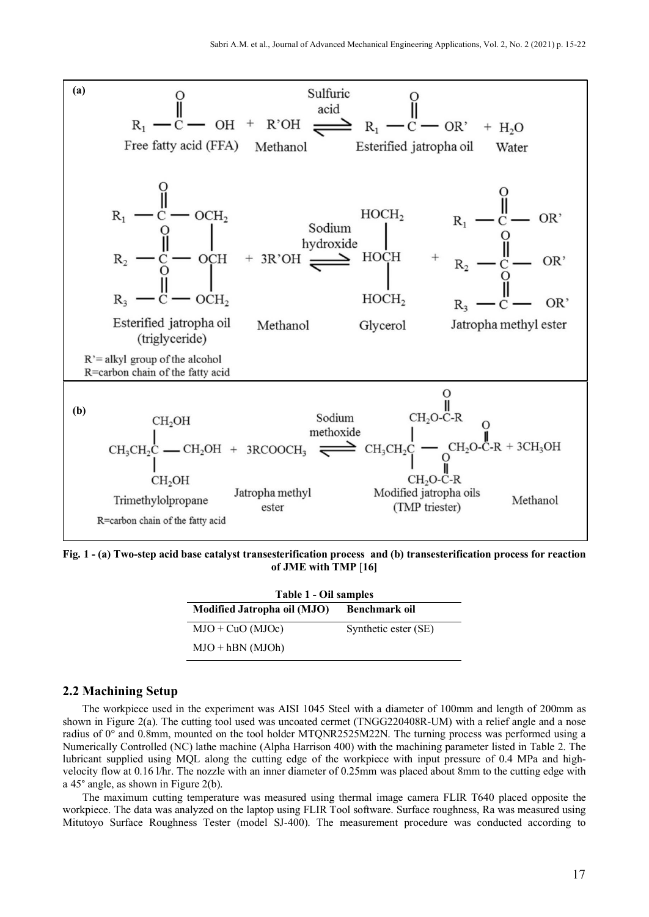

**Fig. 1 - (a) Two-step acid base catalyst transesterification process and (b) transesterification process for reaction of JME with TMP** [**16]**

| Table 1 - Oil samples       |                      |  |  |
|-----------------------------|----------------------|--|--|
| Modified Jatropha oil (MJO) | Benchmark oil        |  |  |
| $MJO + CuO (MJOc)$          | Synthetic ester (SE) |  |  |
| $MJO + hBN (MJOh)$          |                      |  |  |

#### **2.2 Machining Setup**

The workpiece used in the experiment was AISI 1045 Steel with a diameter of 100mm and length of 200mm as shown in Figure 2(a). The cutting tool used was uncoated cermet (TNGG220408R-UM) with a relief angle and a nose radius of 0° and 0.8mm, mounted on the tool holder MTQNR2525M22N. The turning process was performed using a Numerically Controlled (NC) lathe machine (Alpha Harrison 400) with the machining parameter listed in Table 2. The lubricant supplied using MQL along the cutting edge of the workpiece with input pressure of 0.4 MPa and highvelocity flow at 0.16 l/hr. The nozzle with an inner diameter of 0.25mm was placed about 8mm to the cutting edge with a 45° angle, as shown in Figure 2(b).

The maximum cutting temperature was measured using thermal image camera FLIR T640 placed opposite the workpiece. The data was analyzed on the laptop using FLIR Tool software. Surface roughness, Ra was measured using Mitutoyo Surface Roughness Tester (model SJ-400). The measurement procedure was conducted according to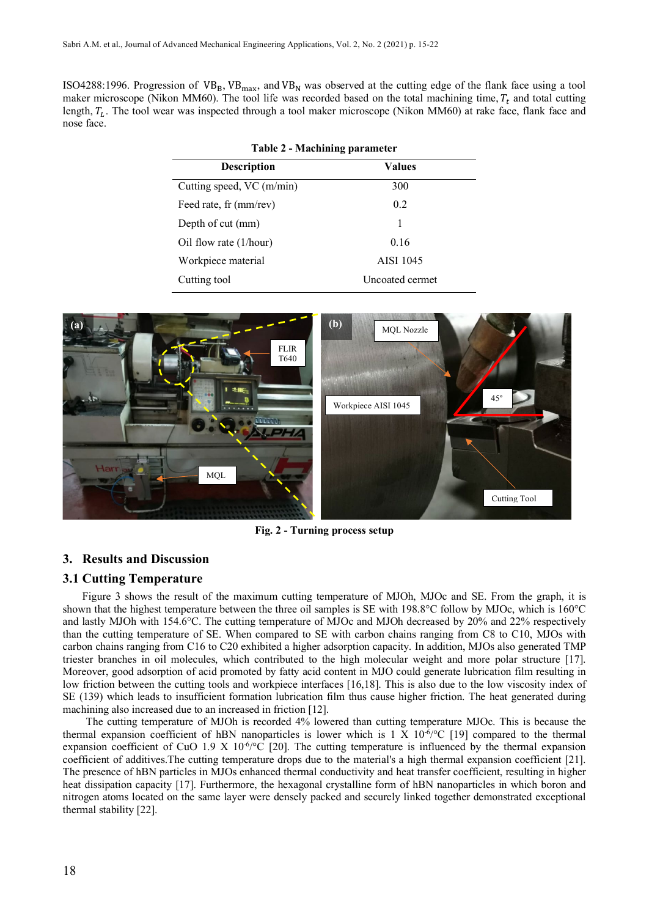ISO4288:1996. Progression of  $VB_B$ ,  $VB_{max}$ , and  $VB_N$  was observed at the cutting edge of the flank face using a tool maker microscope (Nikon MM60). The tool life was recorded based on the total machining time,  $T_t$  and total cutting length,  $T_L$ . The tool wear was inspected through a tool maker microscope (Nikon MM60) at rake face, flank face and nose face.

**Table 2 - Machining parameter**

| Table 2 - Machining parameter |                  |  |  |
|-------------------------------|------------------|--|--|
| <b>Description</b>            | <b>Values</b>    |  |  |
| Cutting speed, VC (m/min)     | 300              |  |  |
| Feed rate, fr (mm/rev)        | 0.2              |  |  |
| Depth of cut (mm)             |                  |  |  |
| Oil flow rate (1/hour)        | 0.16             |  |  |
| Workpiece material            | <b>AISI 1045</b> |  |  |
| Cutting tool                  | Uncoated cermet  |  |  |



**Fig. 2 - Turning process setup**

# **3. Results and Discussion**

# **3.1 Cutting Temperature**

Figure 3 shows the result of the maximum cutting temperature of MJOh, MJOc and SE. From the graph, it is shown that the highest temperature between the three oil samples is SE with 198.8°C follow by MJOc, which is 160°C and lastly MJOh with 154.6°C. The cutting temperature of MJOc and MJOh decreased by 20% and 22% respectively than the cutting temperature of SE. When compared to SE with carbon chains ranging from C8 to C10, MJOs with carbon chains ranging from C16 to C20 exhibited a higher adsorption capacity. In addition, MJOs also generated TMP triester branches in oil molecules, which contributed to the high molecular weight and more polar structure [17]. Moreover, good adsorption of acid promoted by fatty acid content in MJO could generate lubrication film resulting in low friction between the cutting tools and workpiece interfaces [16,18]. This is also due to the low viscosity index of SE (139) which leads to insufficient formation lubrication film thus cause higher friction. The heat generated during machining also increased due to an increased in friction [12].

The cutting temperature of MJOh is recorded 4% lowered than cutting temperature MJOc. This is because the thermal expansion coefficient of hBN nanoparticles is lower which is  $1 \times 10^{-6}$  (19) compared to the thermal expansion coefficient of CuO 1.9 X  $10^{6}/^{\circ}$ C [20]. The cutting temperature is influenced by the thermal expansion coefficient of additives.The cutting temperature drops due to the material's a high thermal expansion coefficient [21]. The presence of hBN particles in MJOs enhanced thermal conductivity and heat transfer coefficient, resulting in higher heat dissipation capacity [17]. Furthermore, the hexagonal crystalline form of hBN nanoparticles in which boron and nitrogen atoms located on the same layer were densely packed and securely linked together demonstrated exceptional thermal stability [22].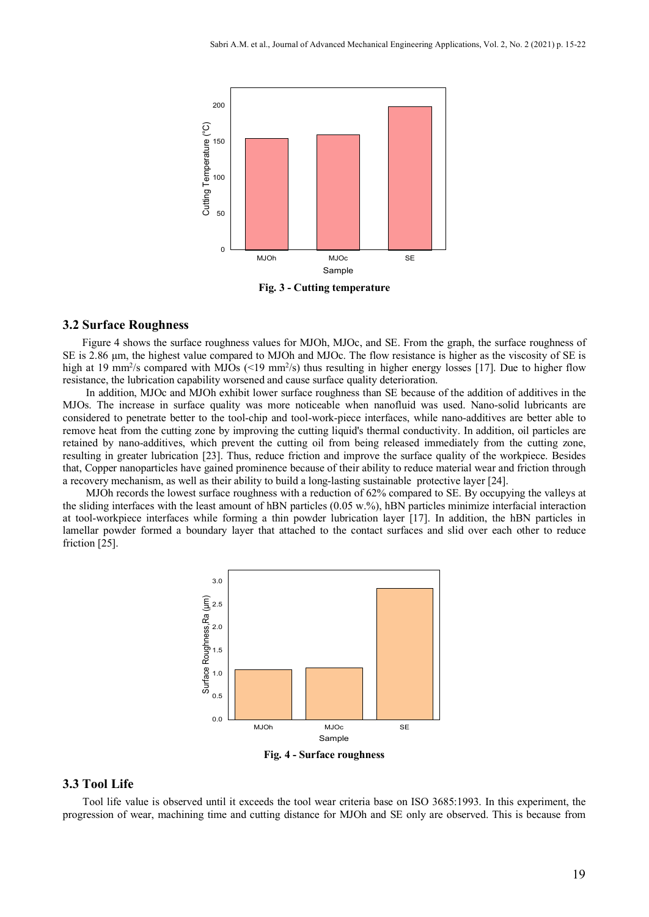

**Fig. 3 - Cutting temperature**

#### **3.2 Surface Roughness**

Figure 4 shows the surface roughness values for MJOh, MJOc, and SE. From the graph, the surface roughness of SE is 2.86 µm, the highest value compared to MJOh and MJOc. The flow resistance is higher as the viscosity of SE is high at 19 mm<sup>2</sup>/s compared with MJOs (<19 mm<sup>2</sup>/s) thus resulting in higher energy losses [17]. Due to higher flow resistance, the lubrication capability worsened and cause surface quality deterioration.

In addition, MJOc and MJOh exhibit lower surface roughness than SE because of the addition of additives in the MJOs. The increase in surface quality was more noticeable when nanofluid was used. Nano-solid lubricants are considered to penetrate better to the tool-chip and tool-work-piece interfaces, while nano-additives are better able to remove heat from the cutting zone by improving the cutting liquid's thermal conductivity. In addition, oil particles are retained by nano-additives, which prevent the cutting oil from being released immediately from the cutting zone, resulting in greater lubrication [23]. Thus, reduce friction and improve the surface quality of the workpiece. Besides that, Copper nanoparticles have gained prominence because of their ability to reduce material wear and friction through a recovery mechanism, as well as their ability to build a long-lasting sustainable protective layer [24].

MJOh records the lowest surface roughness with a reduction of 62% compared to SE. By occupying the valleys at the sliding interfaces with the least amount of hBN particles (0.05 w.%), hBN particles minimize interfacial interaction at tool-workpiece interfaces while forming a thin powder lubrication layer [17]. In addition, the hBN particles in lamellar powder formed a boundary layer that attached to the contact surfaces and slid over each other to reduce friction [25].



**Fig. 4 - Surface roughness**

# **3.3 Tool Life**

Tool life value is observed until it exceeds the tool wear criteria base on ISO 3685:1993. In this experiment, the progression of wear, machining time and cutting distance for MJOh and SE only are observed. This is because from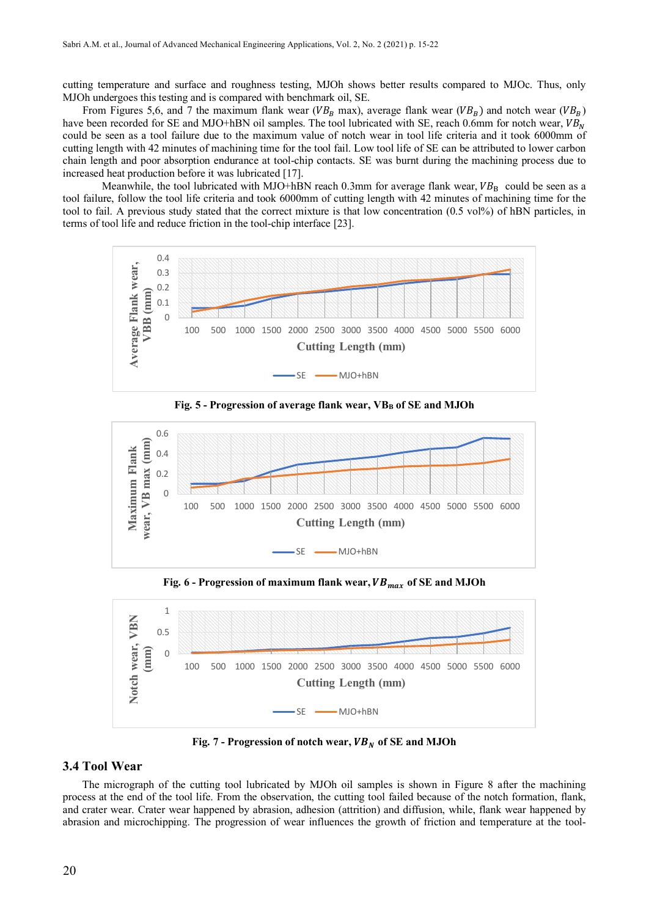cutting temperature and surface and roughness testing, MJOh shows better results compared to MJOc. Thus, only MJOh undergoes this testing and is compared with benchmark oil, SE.

From Figures 5,6, and 7 the maximum flank wear ( $VB<sub>B</sub>$  max), average flank wear ( $VB<sub>B</sub>$ ) and notch wear ( $VB<sub>B</sub>$ ) have been recorded for SE and MJO+hBN oil samples. The tool lubricated with SE, reach 0.6mm for notch wear,  $VB_N$ could be seen as a tool failure due to the maximum value of notch wear in tool life criteria and it took 6000mm of cutting length with 42 minutes of machining time for the tool fail. Low tool life of SE can be attributed to lower carbon chain length and poor absorption endurance at tool-chip contacts. SE was burnt during the machining process due to increased heat production before it was lubricated [17].

Meanwhile, the tool lubricated with MJO+hBN reach 0.3mm for average flank wear,  $VB<sub>R</sub>$  could be seen as a tool failure, follow the tool life criteria and took 6000mm of cutting length with 42 minutes of machining time for the tool to fail. A previous study stated that the correct mixture is that low concentration (0.5 vol%) of hBN particles, in terms of tool life and reduce friction in the tool-chip interface [23].



**Fig. 5 - Progression of average flank wear, VBB of SE and MJOh**



**Fig. 6 - Progression of maximum flank wear, of SE and MJOh**



**Fig. 7 - Progression of notch wear, of SE and MJOh**

## **3.4 Tool Wear**

The micrograph of the cutting tool lubricated by MJOh oil samples is shown in Figure 8 after the machining process at the end of the tool life. From the observation, the cutting tool failed because of the notch formation, flank, and crater wear. Crater wear happened by abrasion, adhesion (attrition) and diffusion, while, flank wear happened by abrasion and microchipping. The progression of wear influences the growth of friction and temperature at the tool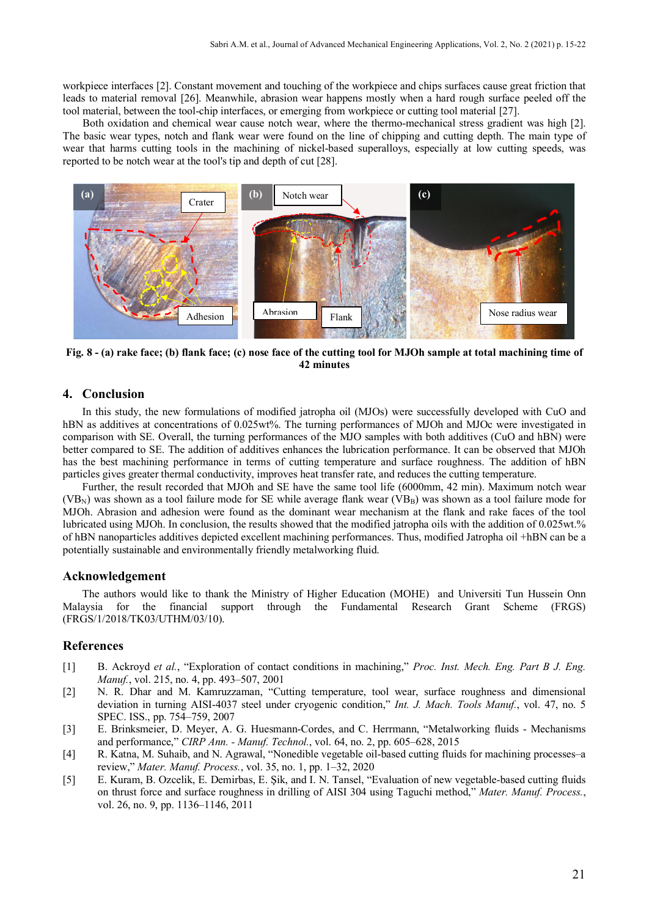workpiece interfaces [2]. Constant movement and touching of the workpiece and chips surfaces cause great friction that leads to material removal [26]. Meanwhile, abrasion wear happens mostly when a hard rough surface peeled off the tool material, between the tool-chip interfaces, or emerging from workpiece or cutting tool material [27].

Both oxidation and chemical wear cause notch wear, where the thermo-mechanical stress gradient was high [2]. The basic wear types, notch and flank wear were found on the line of chipping and cutting depth. The main type of wear that harms cutting tools in the machining of nickel-based superalloys, especially at low cutting speeds, was reported to be notch wear at the tool's tip and depth of cut [28].



**Fig. 8 - (a) rake face; (b) flank face; (c) nose face of the cutting tool for MJOh sample at total machining time of 42 minutes**

## **4. Conclusion**

In this study, the new formulations of modified jatropha oil (MJOs) were successfully developed with CuO and hBN as additives at concentrations of 0.025wt%. The turning performances of MJOh and MJOc were investigated in comparison with SE. Overall, the turning performances of the MJO samples with both additives (CuO and hBN) were better compared to SE. The addition of additives enhances the lubrication performance. It can be observed that MJOh has the best machining performance in terms of cutting temperature and surface roughness. The addition of hBN particles gives greater thermal conductivity, improves heat transfer rate, and reduces the cutting temperature.

Further, the result recorded that MJOh and SE have the same tool life (6000mm, 42 min). Maximum notch wear  $(VB_N)$  was shown as a tool failure mode for SE while average flank wear  $(VB_B)$  was shown as a tool failure mode for MJOh. Abrasion and adhesion were found as the dominant wear mechanism at the flank and rake faces of the tool lubricated using MJOh. In conclusion, the results showed that the modified jatropha oils with the addition of 0.025wt.% of hBN nanoparticles additives depicted excellent machining performances. Thus, modified Jatropha oil +hBN can be a potentially sustainable and environmentally friendly metalworking fluid.

#### **Acknowledgement**

The authors would like to thank the Ministry of Higher Education (MOHE) and Universiti Tun Hussein Onn Malaysia for the financial support through the Fundamental Research Grant Scheme (FRGS) (FRGS/1/2018/TK03/UTHM/03/10).

# **References**

- [1] B. Ackroyd *et al.*, "Exploration of contact conditions in machining," *Proc. Inst. Mech. Eng. Part B J. Eng. Manuf.*, vol. 215, no. 4, pp. 493–507, 2001
- [2] N. R. Dhar and M. Kamruzzaman, "Cutting temperature, tool wear, surface roughness and dimensional deviation in turning AISI-4037 steel under cryogenic condition," *Int. J. Mach. Tools Manuf.*, vol. 47, no. 5 SPEC. ISS., pp. 754–759, 2007
- [3] E. Brinksmeier, D. Meyer, A. G. Huesmann-Cordes, and C. Herrmann, "Metalworking fluids Mechanisms and performance," *CIRP Ann. - Manuf. Technol.*, vol. 64, no. 2, pp. 605–628, 2015
- [4] R. Katna, M. Suhaib, and N. Agrawal, "Nonedible vegetable oil-based cutting fluids for machining processes–a review," *Mater. Manuf. Process.*, vol. 35, no. 1, pp. 1–32, 2020
- [5] E. Kuram, B. Ozcelik, E. Demirbas, E. Şik, and I. N. Tansel, "Evaluation of new vegetable-based cutting fluids on thrust force and surface roughness in drilling of AISI 304 using Taguchi method," *Mater. Manuf. Process.*, vol. 26, no. 9, pp. 1136–1146, 2011